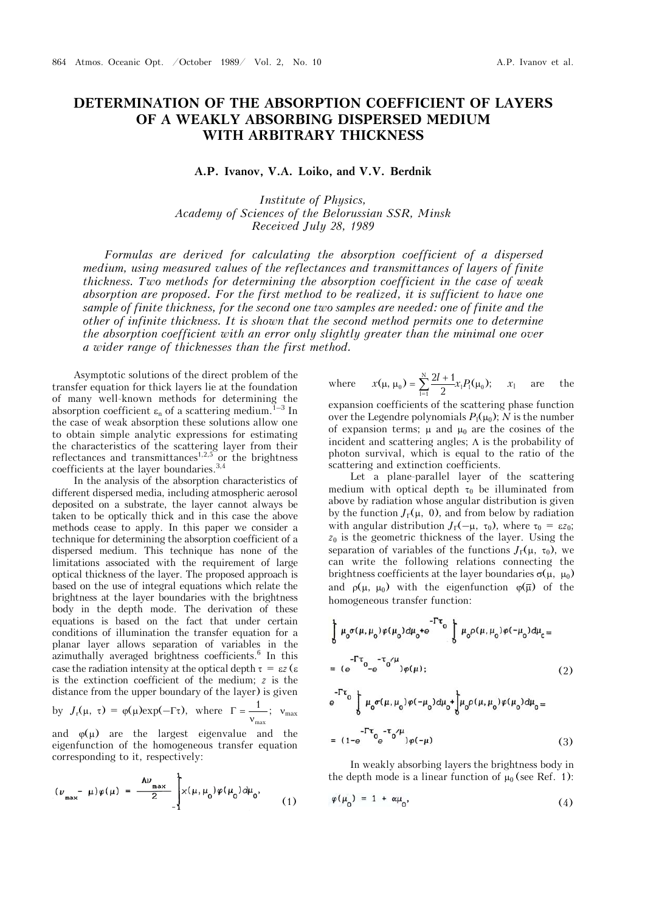## **DETERMINATION OF THE ABSORPTION COEFFICIENT OF LAYERS OF A WEAKLY ABSORBING DISPERSED MEDIUM WITH ARBITRARY THICKNESS**

**A.P. Ivanov, V.A. Loiko, and V.V. Berdnik** 

*Institute of Physics, Academy of Sciences of the Belorussian SSR, Minsk Received July 28, 1989* 

*Formulas are derived for calculating the absorption coefficient of a dispersed medium, using measured values of the reflectances and transmittances of layers of finite thickness. Two methods for determining the absorption coefficient in the case of weak absorption are proposed. For the first method to be realized, it is sufficient to have one sample of finite thickness, for the second one two samples are needed: one of finite and the other of infinite thickness. It is shown that the second method permits one to determine the absorption coefficient with an error only slightly greater than the minimal one over a wider range of thicknesses than the first method.*

Asymptotic solutions of the direct problem of the transfer equation for thick layers lie at the foundation of many well-known methods for determining the absorption coefficient  $\varepsilon_n$  of a scattering medium.<sup>1–3</sup> In the case of weak absorption these solutions allow one to obtain simple analytic expressions for estimating the characteristics of the scattering layer from their reflectances and transmittances<sup>1,2,5</sup> or the brightness coefficients at the layer boundaries.3,4

In the analysis of the absorption characteristics of different dispersed media, including atmospheric aerosol deposited on a substrate, the layer cannot always be taken to be optically thick and in this case the above methods cease to apply. In this paper we consider a technique for determining the absorption coefficient of a dispersed medium. This technique has none of the limitations associated with the requirement of large optical thickness of the layer. The proposed approach is based on the use of integral equations which relate the brightness at the layer boundaries with the brightness body in the depth mode. The derivation of these equations is based on the fact that under certain conditions of illumination the transfer equation for a planar layer allows separation of variables in the azimuthally averaged brightness coefficients.<sup>6</sup> In this case the radiation intensity at the optical depth  $\tau = \varepsilon z$  ( $\varepsilon$ ) is the extinction coefficient of the medium; *z* is the distance from the upper boundary of the layer) is given

by  $J_r(\mu, \tau) = \varphi(\mu) \exp(-\Gamma \tau)$ , where  $\Gamma = \frac{1}{v_{\text{max}}}$ ;  $v_{\text{max}}$ 

and  $\varphi(\mu)$  are the largest eigenvalue and the eigenfunction of the homogeneous transfer equation corresponding to it, respectively:

$$
(\nu_{\max} - \mu)\varphi(\mu) = \frac{\hbar v_{\max}}{2} \int_{-\pi}^{\pi} x(\mu, \mu_0)\varphi(\mu_0) d\mu_0,
$$
 (1)

where 
$$
x(\mu, \mu_0) = \sum_{l=1}^{N} \frac{2l+1}{2} x_l P_l(\mu_0); \quad x_l
$$
 are the

expansion coefficients of the scattering phase function over the Legendre polynomials  $P_1(\mu_0)$ ; *N* is the number of expansion terms;  $\mu$  and  $\mu_0$  are the cosines of the incident and scattering angles;  $\Lambda$  is the probability of photon survival, which is equal to the ratio of the scattering and extinction coefficients.

Let a plane-parallel layer of the scattering medium with optical depth  $\tau_0$  be illuminated from above by radiation whose angular distribution is given by the function  $J_{\Gamma}(\mu, 0)$ , and from below by radiation with angular distribution  $J_{\Gamma}(-\mu, \tau_0)$ , where  $\tau_0 = \varepsilon z_0$ ;  $z_0$  is the geometric thickness of the layer. Using the separation of variables of the functions  $J_{\Gamma}(\mu, \tau_0)$ , we can write the following relations connecting the brightness coefficients at the layer boundaries  $\sigma(\mu, \mu_0)$ and  $\rho(\mu, \mu_0)$  with the eigenfunction  $\varphi(\bar{\mu})$  of the homogeneous transfer function:

$$
\int_{0}^{1} \mu_{0} \sigma(\mu, \mu_{0}) \varphi(\mu_{0}) d\mu_{0} + e^{-T\tau_{0}} \int_{0}^{T\tau_{0}} \mu_{0} \rho(\mu, \mu_{0}) \varphi(-\mu_{0}) d\mu_{0} =
$$
\n
$$
= (e^{-T\tau_{0}} - e^{-\tau_{0}/\mu}) \varphi(\mu); \qquad (2)
$$
\n
$$
e^{-T\tau_{0}} \int_{0}^{1} \mu_{0} \sigma(\mu, \mu_{0}) \varphi(-\mu_{0}) d\mu_{0} + \int_{0}^{1} \mu_{0} \rho(\mu, \mu_{0}) \varphi(\mu_{0}) d\mu_{0} =
$$
\n
$$
= (1 - e^{-T\tau_{0}} e^{-\tau_{0}/\mu}) \varphi(-\mu) \qquad (3)
$$

In weakly absorbing layers the brightness body in the depth mode is a linear function of  $\mu_0$  (see Ref. 1):

$$
\varphi(\mu_0) = 1 + \alpha \mu_0, \qquad (4)
$$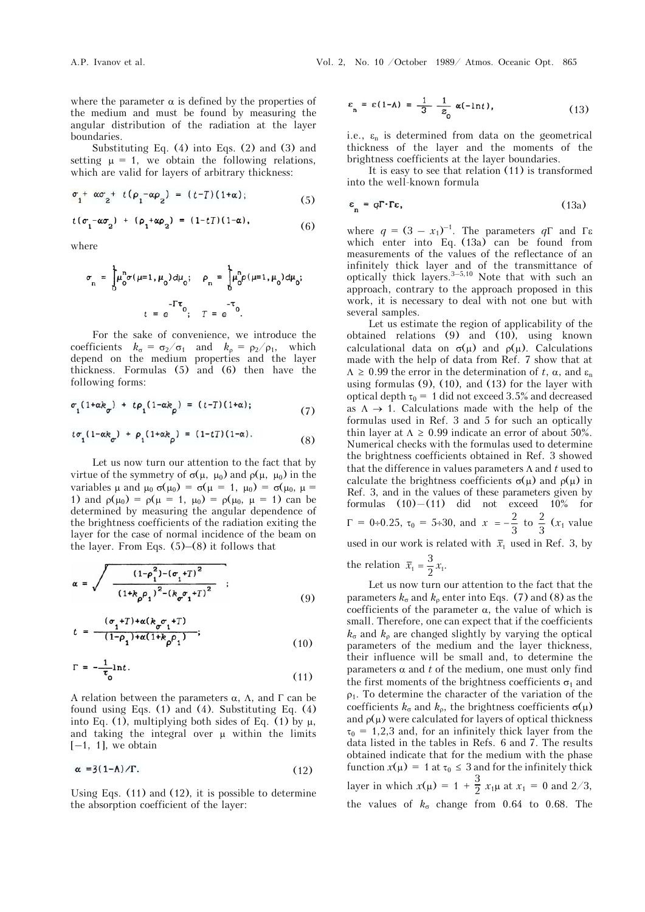where the parameter  $\alpha$  is defined by the properties of the medium and must be found by measuring the angular distribution of the radiation at the layer boundaries.

Substituting Eq. (4) into Eqs. (2) and (3) and setting  $\mu = 1$ , we obtain the following relations, which are valid for layers of arbitrary thickness:

$$
\sigma_1^+ \propto \sigma_2^+ t(\rho_1^- \propto \rho_2) = (t-T)(1+\alpha); \tag{5}
$$

$$
t(\sigma_1 - \alpha \sigma_2) + (\rho_1 + \alpha \rho_2) = (1 - t) (1 - \alpha), \tag{6}
$$

where

$$
\sigma_{n} = \int_{0}^{1} \mu_{0}^{n} \sigma(\mu=1, \mu_{0}) d\mu_{0}; \quad \rho_{n} = \int_{0}^{1} \mu_{0}^{n} \rho(\mu=1, \mu_{0}) d\mu_{0};
$$

$$
t = e^{-\Gamma \tau_{0}}; \quad T = e^{-\tau_{0}}.
$$

For the sake of convenience, we introduce the coefficients  $k_{\sigma} = \sigma_2/\sigma_1$  and  $k_{\rho} = \rho_2/\rho_1$ , which depend on the medium properties and the layer thickness. Formulas (5) and (6) then have the following forms:

$$
\sigma_1(1+\alpha k_{\sigma}) + t\rho_1(1-\alpha k_{\rho}) = (t-T)(1+\alpha); \qquad (7)
$$

$$
t\sigma_1(1-\alpha k_{\sigma}) + \rho_1(1+\alpha k_{\rho}) = (1-tT)(1-\alpha). \tag{8}
$$

Let us now turn our attention to the fact that by virtue of the symmetry of  $\sigma(\mu, \mu_0)$  and  $\rho(\mu, \mu_0)$  in the variables  $\mu$  and  $\mu_0 \sigma(\mu_0) = \sigma(\mu = 1, \mu_0) = \sigma(\mu_0, \mu =$ 1) and  $\rho(\mu_0) = \rho(\mu = 1, \mu_0) = \rho(\mu_0, \mu = 1)$  can be determined by measuring the angular dependence of the brightness coefficients of the radiation exiting the layer for the case of normal incidence of the beam on the layer. From Eqs.  $(5)$ – $(8)$  it follows that

$$
\alpha = \sqrt{\frac{(1-\rho_1^2) - (\sigma_1 + T)^2}{(1+k_\rho \rho_1)^2 - (k_\sigma \sigma_1 + T)^2}} \quad ; \tag{9}
$$

$$
t = \frac{(\sigma_1 + T) + \alpha (k_{\sigma} \sigma_1 + T)}{(1 - \rho_1) + \alpha (1 + k_{\rho} \rho_1)};
$$
\n(10)

$$
\Gamma = -\frac{1}{\tau_0} \ln t. \tag{11}
$$

A relation between the parameters  $\alpha$ ,  $\Lambda$ , and  $\Gamma$  can be found using Eqs. (1) and (4). Substituting Eq. (4) into Eq. (1), multiplying both sides of Eq. (1) by  $\mu$ , and taking the integral over  $\mu$  within the limits  $[-1, 1]$ , we obtain

$$
\alpha = 3(1-\Lambda)/\Gamma. \tag{12}
$$

Using Eqs. (11) and (12), it is possible to determine the absorption coefficient of the layer:

$$
\varepsilon_n = \varepsilon (1-\Lambda) = \frac{1}{3} \frac{1}{z_0} \alpha (-\ln t), \qquad (13)
$$

i.e.,  $\varepsilon_n$  is determined from data on the geometrical thickness of the layer and the moments of the brightness coefficients at the layer boundaries.

It is easy to see that relation (11) is transformed into the well-known formula

$$
\varepsilon_{n} = q \Gamma \cdot \Gamma \varepsilon, \tag{13a}
$$

where  $q = (3 - x_1)^{-1}$ . The parameters  $q\Gamma$  and  $\Gamma$ which enter into Eq. (13a) can be found from measurements of the values of the reflectance of an infinitely thick layer and of the transmittance of optically thick layers. $3-5,10$  Note that with such an approach, contrary to the approach proposed in this work, it is necessary to deal with not one but with several samples.

Let us estimate the region of applicability of the obtained relations (9) and (10), using known calculational data on  $\sigma(\mu)$  and  $\rho(\mu)$ . Calculations made with the help of data from Ref. 7 show that at  $\Lambda \geq 0.99$  the error in the determination of *t*,  $\alpha$ , and  $\varepsilon_n$ using formulas (9), (10), and (13) for the layer with optical depth  $\tau_0 = 1$  did not exceed 3.5% and decreased as  $\Lambda \rightarrow 1$ . Calculations made with the help of the formulas used in Ref. 3 and 5 for such an optically thin layer at  $\Lambda \geq 0.99$  indicate an error of about 50%. Numerical checks with the formulas used to determine the brightness coefficients obtained in Ref. 3 showed that the difference in values parameters  $\Lambda$  and  $t$  used to calculate the brightness coefficients  $\sigma(\mu)$  and  $\rho(\mu)$  in Ref. 3, and in the values of these parameters given by formulas (10)—(11) did not exceed 10% for  $\Gamma = 0.25$ ,  $\tau_0 = 5.30$ , and  $x = -\frac{2}{3}$  to  $\frac{2}{3}$  ( $x_1$  value used in our work is related with  $\bar{x}_1$  used in Ref. 3, by the relation  $\bar{x}_1 = \frac{3}{2}x_1$ .

Let us now turn our attention to the fact that the parameters  $k_{\sigma}$  and  $k_{\rho}$  enter into Eqs. (7) and (8) as the coefficients of the parameter  $\alpha$ , the value of which is small. Therefore, one can expect that if the coefficients  $k_{\sigma}$  and  $k_{\rho}$  are changed slightly by varying the optical parameters of the medium and the layer thickness, their influence will be small and, to determine the parameters  $\alpha$  and  $t$  of the medium, one must only find the first moments of the brightness coefficients  $\sigma_1$  and  $\rho_1$ . To determine the character of the variation of the coefficients  $k_{\sigma}$  and  $k_{\rho}$ , the brightness coefficients  $\sigma(\mu)$ and  $\rho(\mu)$  were calculated for layers of optical thickness  $\tau_0$  = 1,2,3 and, for an infinitely thick layer from the data listed in the tables in Refs. 6 and 7. The results obtained indicate that for the medium with the phase function  $x(\mu) = 1$  at  $\tau_0 \leq 3$  and for the infinitely thick layer in which  $x(\mu) = 1 + \frac{3}{2} x_1 \mu$  at  $x_1 = 0$  and 2/3, the values of  $k_{\sigma}$  change from 0.64 to 0.68. The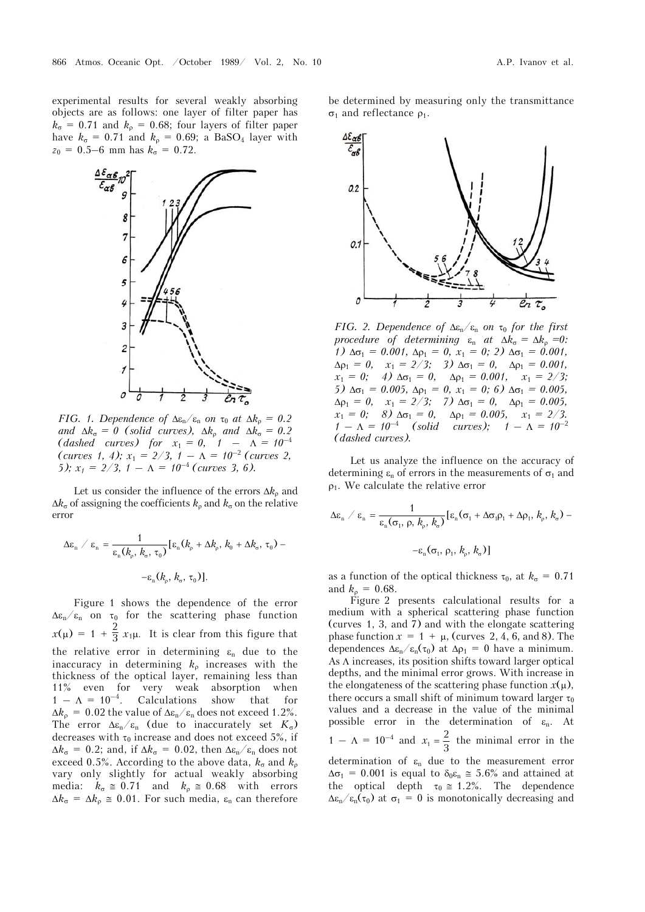experimental results for several weakly absorbing objects are as follows: one layer of filter paper has  $k_{\sigma}$  = 0.71 and  $k_{\rho}$  = 0.68; four layers of filter paper have  $k_{\sigma} = 0.71$  and  $k_{\rho} = 0.69$ ; a BaSO<sub>4</sub> layer with  $z_0 = 0.5-6$  mm has  $k_\sigma = 0.72$ .



*FIG. 1. Dependence of*  $\Delta \varepsilon_n / \varepsilon_n$  *on*  $\tau_0$  *at*  $\Delta k_\rho = 0.2$ *and*  $\Delta k_{\sigma} = 0$  (solid curves),  $\Delta k_{\rho}$  and  $\Delta k_{\sigma} = 0.2$ *(dashed curves) for*  $x_1 = 0, 1 - \lambda = 10^{-4}$  $(curves 1, 4); x_1 = 2/3, 1 - \Lambda = 10^{-2}$  (curves 2, *5);*  $x_1 = 2/3$ ,  $1 - \Lambda = 10^{-4}$  (curves 3, 6).

Let us consider the influence of the errors  $\Delta k_{\rm p}$  and  $\Delta k_{\sigma}$  of assigning the coefficients  $k_{\rho}$  and  $k_{\sigma}$  on the relative error

$$
\Delta \varepsilon_{\rm n} \ / \ \varepsilon_{\rm n} = \frac{1}{\varepsilon_{\rm n}(k_{\rm p}, k_{\rm o}, \tau_0)} [\varepsilon_{\rm n}(k_{\rm p} + \Delta k_{\rm p}, k_0 + \Delta k_{\rm o}, \tau_0) -
$$

$$
-\varepsilon_{\rm n}(k_{\rm p}, k_{\rm o}, \tau_0)].
$$

Figure 1 shows the dependence of the error  $\Delta \varepsilon_n/\varepsilon_n$  on  $\tau_0$  for the scattering phase function  $x(\mu) = 1 + \frac{2}{3}x_1\mu$ . It is clear from this figure that the relative error in determining  $\varepsilon_n$  due to the inaccuracy in determining  $k<sub>o</sub>$  increases with the thickness of the optical layer, remaining less than 11% even for very weak absorption when  $1 - \Lambda = 10^{-4}$ . Calculations show that for  $\Delta k_{\rho} = 0.02$  the value of  $\Delta \epsilon_{\text{n}}/\epsilon_{\text{n}}$  does not exceed 1.2%. The error  $\Delta \epsilon_n / \epsilon_n$  (due to inaccurately set  $K_{\sigma}$ ) decreases with  $\tau_0$  increase and does not exceed 5%, if  $\Delta k_{\sigma} = 0.2$ ; and, if  $\Delta k_{\sigma} = 0.02$ , then  $\Delta \varepsilon_{\rm n}/\varepsilon_{\rm n}$  does not exceed 0.5%. According to the above data,  $k_{\sigma}$  and  $k_{\rho}$ vary only slightly for actual weakly absorbing media:  $k_{\sigma} \approx 0.71$  and  $k_{\rho} \approx 0.68$  with errors  $\Delta k_{\sigma} = \Delta k_{\rho} \approx 0.01$ . For such media,  $\varepsilon_{\rm n}$  can therefore

be determined by measuring only the transmittance  $\sigma_1$  and reflectance  $\rho_1$ .



*FIG. 2. Dependence of*  $\Delta \varepsilon_n / \varepsilon_n$  *on*  $\tau_0$  *for the first procedure of determining*  $\varepsilon_n$  *at*  $\Delta k_\sigma = \Delta k_\rho = 0$ : *1*  $\Delta \sigma_1 = 0.001$ ,  $\Delta \rho_1 = 0$ ,  $x_1 = 0$ ; 2)  $\Delta \sigma_1 = 0.001$ ,  $\Delta \rho_1 = 0$ ,  $x_1 = 2/3$ ; 3)  $\Delta \sigma_1 = 0$ ,  $\Delta \rho_1 = 0.001$ ,  $x_1 = 0$ ; 4)  $\Delta \sigma_1 = 0$ ,  $\Delta \rho_1 = 0.001$ ,  $x_1 = 2/3$ ;  $5)$   $\Delta \sigma_1 = 0.005$ ,  $\Delta \rho_1 = 0$ ,  $x_1 = 0$ ; 6)  $\Delta \sigma_1 = 0.005$ ,  $\Delta \rho_1 = 0$ ,  $x_1 = 2/3$ ; 7)  $\Delta \sigma_1 = 0$ ,  $\Delta \rho_1 = 0.005$ ,  $x_1 = 0$ ; 8)  $\Delta \sigma_1 = 0$ ,  $\Delta \rho_1 = 0.005$ ,  $x_1 = 2/3$ .  $1 - \Lambda = 10^{-4}$  (solid curves);  $1 - \Lambda = 10^{-2}$ *(dashed curves).* 

Let us analyze the influence on the accuracy of determining  $\varepsilon_n$  of errors in the measurements of  $\sigma_1$  and  $\rho_1$ . We calculate the relative error

$$
\Delta \varepsilon_{n} \big/ \varepsilon_{n} = \frac{1}{\varepsilon_{n}(\sigma_{1}, \rho, k_{\rho}, k_{\sigma})} [\varepsilon_{n}(\sigma_{1} + \Delta \sigma_{1} \rho_{1} + \Delta \rho_{1}, k_{\rho}, k_{\sigma}) -\varepsilon_{n}(\sigma_{1}, \rho_{1}, k_{\rho}, k_{\sigma})]
$$

as a function of the optical thickness  $\tau_0$ , at  $k_\sigma = 0.71$ and  $k_0 = 0.68$ .

Figure 2 presents calculational results for a medium with a spherical scattering phase function (curves 1, 3, and 7) and with the elongate scattering phase function  $x = 1 + \mu$ , (curves 2, 4, 6, and 8). The dependences  $\Delta \varepsilon_n / \varepsilon_n(\tau_0)$  at  $\Delta \rho_1 = 0$  have a minimum. As  $\Lambda$  increases, its position shifts toward larger optical depths, and the minimal error grows. With increase in the elongateness of the scattering phase function  $x(\mu)$ , there occurs a small shift of minimum toward larger  $\tau_0$ values and a decrease in the value of the minimal possible error in the determination of  $\varepsilon_n$ . At  $1 - \Lambda = 10^{-4}$  and  $x_1 = \frac{2}{3}$  $x_1 = \frac{2}{3}$  the minimal error in the determination of  $\varepsilon_n$  due to the measurement error  $\Delta \sigma_1$  = 0.001 is equal to  $\delta_0 \varepsilon_n \approx 5.6\%$  and attained at the optical depth  $\tau_0 \approx 1.2\%$ . The dependence  $\Delta \epsilon_n/\epsilon_n(\tau_0)$  at  $\sigma_1 = 0$  is monotonically decreasing and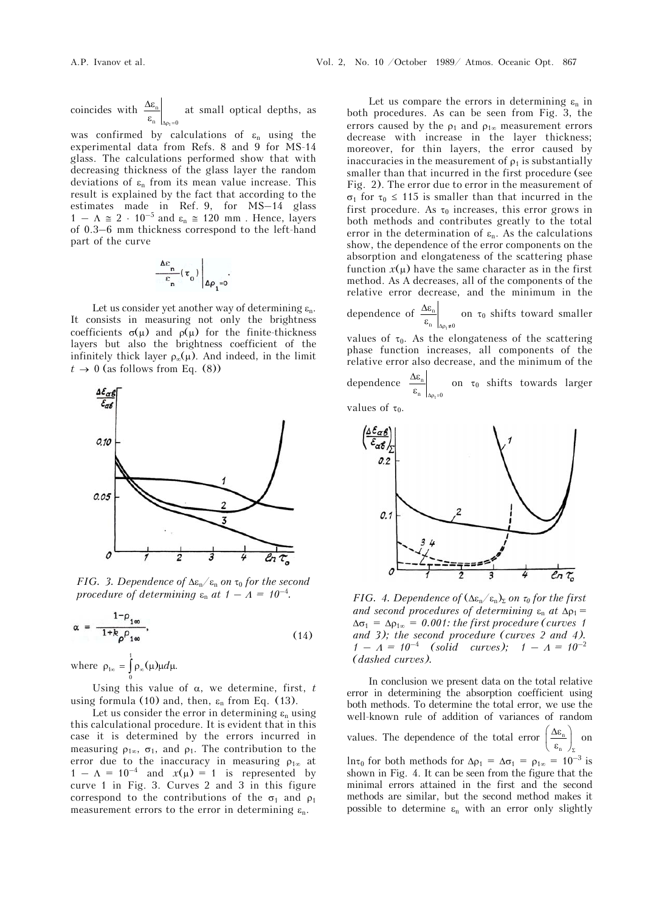coincides with  $\frac{\Delta c_n}{\Delta}$ 1  $n \mid_{\Delta \rho_1 = 0}$  $\frac{\Delta \varepsilon_n}{\varepsilon_n}$  at small optical depths, as

was confirmed by calculations of  $\varepsilon_n$  using the experimental data from Refs. 8 and 9 for MS-14 glass. The calculations performed show that with decreasing thickness of the glass layer the random deviations of  $\varepsilon_n$  from its mean value increase. This result is explained by the fact that according to the estimates made in Ref. 9, for MS–14 glass  $1 - \Lambda \approx 2 \cdot 10^{-5}$  and  $\varepsilon_n \approx 120$  mm. Hence, layers of 0.3–6 mm thickness correspond to the left-hand part of the curve

$$
\frac{\Delta \varepsilon_n}{\varepsilon_n} (\tau_0) \Bigg|_{\Delta \rho_1 = 0}.
$$

Let us consider yet another way of determining  $\varepsilon_n$ . It consists in measuring not only the brightness coefficients  $\sigma(\mu)$  and  $\rho(\mu)$  for the finite-thickness layers but also the brightness coefficient of the infinitely thick layer  $\rho_{\infty}(\mu)$ . And indeed, in the limit  $t \rightarrow 0$  (as follows from Eq. (8))



*FIG.* 3. Dependence of  $\Delta \epsilon_n / \epsilon_n$  on  $\tau_0$  for the second *procedure of determining*  $\varepsilon_n$  *at*  $1 - A = 10^{-4}$ .

$$
\alpha = \frac{1 - \rho_{1\infty}}{1 + k_{\rho} \rho_{1\infty}},\tag{14}
$$

where  $\rho_{1\infty} = \int_0^1$  $\rho_{1\infty} = \int_{0}^{\infty} \rho_{\infty}(\mu) \mu d\mu.$ 

Using this value of  $\alpha$ , we determine, first,  $t$ using formula (10) and, then,  $\varepsilon_n$  from Eq. (13).

Let us consider the error in determining  $\varepsilon_n$  using this calculational procedure. It is evident that in this case it is determined by the errors incurred in measuring  $\rho_{1\infty}$ ,  $\sigma_1$ , and  $\rho_1$ . The contribution to the error due to the inaccuracy in measuring  $\rho_{1\infty}$  at  $1 - \Lambda = 10^{-4}$  and  $x(\mu) = 1$  is represented by curve 1 in Fig. 3. Curves 2 and 3 in this figure correspond to the contributions of the  $\sigma_1$  and  $\rho_1$ measurement errors to the error in determining  $\varepsilon_n$ .

Let us compare the errors in determining  $\varepsilon_n$  in both procedures. As can be seen from Fig. 3, the errors caused by the  $\rho_1$  and  $\rho_{1\infty}$  measurement errors decrease with increase in the layer thickness; moreover, for thin layers, the error caused by inaccuracies in the measurement of  $\rho_1$  is substantially smaller than that incurred in the first procedure (see Fig. 2). The error due to error in the measurement of  $\sigma_1$  for  $\tau_0 \leq 115$  is smaller than that incurred in the first procedure. As  $\tau_0$  increases, this error grows in both methods and contributes greatly to the total error in the determination of  $\varepsilon_n$ . As the calculations show, the dependence of the error components on the absorption and elongateness of the scattering phase function  $x(\mu)$  have the same character as in the first method. As A decreases, all of the components of the relative error decrease, and the minimum in the

dependence of 
$$
\frac{\Delta \varepsilon_n}{\varepsilon_n}\Big|_{\Delta \rho_1 \neq 0}
$$
 on  $\tau_0$  shifts toward smaller

values of  $\tau_0$ . As the elongateness of the scattering phase function increases, all components of the relative error also decrease, and the minimum of the

dependence 1 n  $n \mid_{\Delta \rho_1 = 0}$  $Δε$  $\frac{\omega_n}{\epsilon_n}\Big|_{\Delta p_i=0}$  on  $\tau_0$  shifts towards larger

values of  $\tau_0$ .



*FIG.* 4. Dependence of  $(\Delta \varepsilon_n/\varepsilon_n)_\Sigma$  on  $\tau_0$  for the first *and second procedures of determining*  $\varepsilon_n$  *at*  $\Delta p_1 =$  $\Delta \sigma_1 = \Delta \rho_{1\infty} = 0.001$ : the first procedure (curves 1) *and 3); the second procedure (curves 2 and 4).*   $1 - A = 10^{-4}$  (solid curves);  $1 - A = 10^{-2}$ *(dashed curves).*

In conclusion we present data on the total relative error in determining the absorption coefficient using both methods. To determine the total error, we use the well-known rule of addition of variances of random values. The dependence of the total error  $\frac{\Delta\mathbf{c}_{n}}{n}$  $\left(\frac{\Delta \varepsilon_n}{\varepsilon_n}\right)_{\Sigma}$  on ln $\tau_0$  for both methods for  $\Delta \rho_1 = \Delta \sigma_1 = \rho_{1\infty} = 10^{-3}$  is shown in Fig. 4. It can be seen from the figure that the minimal errors attained in the first and the second methods are similar, but the second method makes it possible to determine  $\varepsilon_n$  with an error only slightly